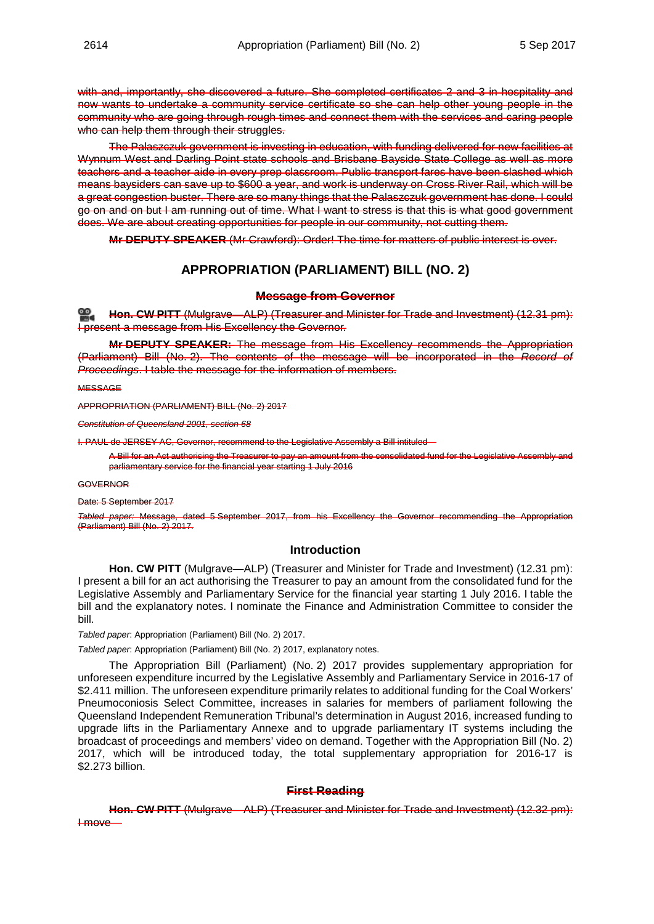with and, importantly, she discovered a future. She completed certificates 2 and 3 in hospitality and now wants to undertake a community service certificate so she can help other young people in the community who are going through rough times and connect them with the services and caring people who can help them through their struggles.

The Palaszczuk government is investing in education, with funding delivered for new facilities at Wynnum West and Darling Point state schools and Brisbane Bayside State College as well as more teachers and a teacher aide in every prep classroom. Public transport fares have been slashed which means baysiders can save up to \$600 a year, and work is underway on Cross River Rail, which will be a great congestion buster. There are so many things that the Palaszczuk government has done. I could go on and on but I am running out of time. What I want to stress is that this is what good government does. We are about creating opportunities for people in our community, not cutting them.

**Mr DEPUTY SPEAKER** (Mr Crawford): Order! The time for matters of public interest is over.

# **APPROPRIATION (PARLIAMENT) BILL (NO. 2)**

#### **Message from Governor**

**[Hon. CW](http://www.parliament.qld.gov.au/docs/find.aspx?id=0Mba20170905_123103) PITT** (Mulgrave—ALP) (Treasurer and Minister for Trade and Investment) (12.31 pm): I present a message from His Excellency the Governor.

**Mr DEPUTY SPEAKER:** The message from His Excellency recommends the Appropriation (Parliament) Bill (No. 2). The contents of the message will be incorporated in the *Record of Proceedings*. I table the message for the information of members.

**MESSAGE** 

APPROPRIATION (PARLIAMENT) BILL (No. 2) 2017

*Constitution of Queensland 2001, section 68*

I. PAUL de JERSEY AC, Governor, recommend to the Legislative Assembly a Bill intituled—

A Bill for an Act authorising the Treasurer to pay an amount from the consolidated fund for the Legislative Assembly and parliamentary service for the financial year starting 1 July 2016

#### GOVERNOR

Date: 5 September 2017

*Tabled paper:* Message, dated 5 September 2017, from his Excellency the Governor recommending the Appropriation (Parliament) Bill (No. 2) 2017.

### **Introduction**

**Hon. CW PITT** (Mulgrave—ALP) (Treasurer and Minister for Trade and Investment) (12.31 pm): I present a bill for an act authorising the Treasurer to pay an amount from the consolidated fund for the Legislative Assembly and Parliamentary Service for the financial year starting 1 July 2016. I table the bill and the explanatory notes. I nominate the Finance and Administration Committee to consider the bill.

*Tabled paper*: Appropriation (Parliament) Bill (No. 2) 2017.

*Tabled paper*: Appropriation (Parliament) Bill (No. 2) 2017, explanatory notes.

The Appropriation Bill (Parliament) (No. 2) 2017 provides supplementary appropriation for unforeseen expenditure incurred by the Legislative Assembly and Parliamentary Service in 2016-17 of \$2.411 million. The unforeseen expenditure primarily relates to additional funding for the Coal Workers' Pneumoconiosis Select Committee, increases in salaries for members of parliament following the Queensland Independent Remuneration Tribunal's determination in August 2016, increased funding to upgrade lifts in the Parliamentary Annexe and to upgrade parliamentary IT systems including the broadcast of proceedings and members' video on demand. Together with the Appropriation Bill (No. 2) 2017, which will be introduced today, the total supplementary appropriation for 2016-17 is \$2.273 billion.

### **First Reading**

**Hon. CW PITT** (Mulgrave—ALP) (Treasurer and Minister for Trade and Investment) (12.32 pm): I move